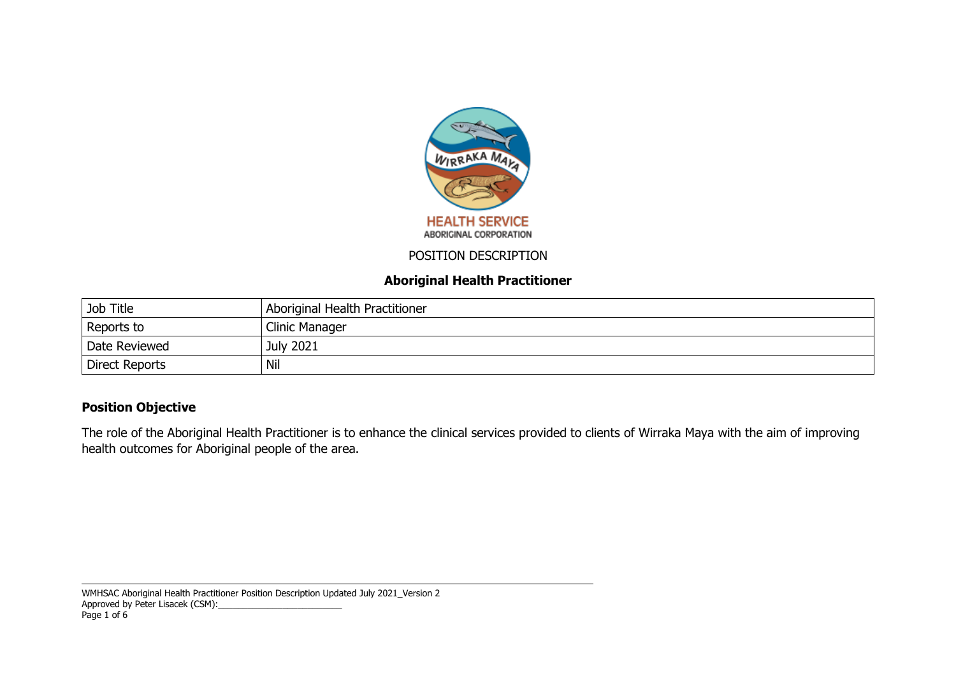

#### POSITION DESCRIPTION

## **Aboriginal Health Practitioner**

| Job Title      | Aboriginal Health Practitioner |
|----------------|--------------------------------|
| Reports to     | Clinic Manager                 |
| Date Reviewed  | <b>July 2021</b>               |
| Direct Reports | Nil                            |

# **Position Objective**

The role of the Aboriginal Health Practitioner is to enhance the clinical services provided to clients of Wirraka Maya with the aim of improving health outcomes for Aboriginal people of the area.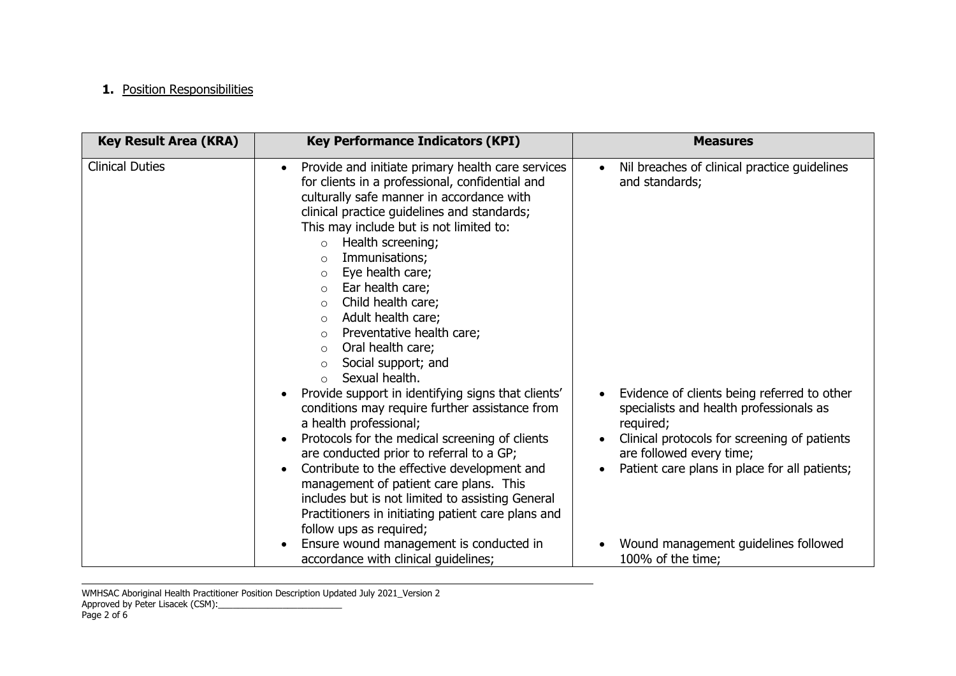## **1.** Position Responsibilities

| <b>Key Result Area (KRA)</b> | <b>Key Performance Indicators (KPI)</b>                                                                                                                                                                                                                                                                                                                                                                                                                                                                                                                                                                                                                                                                                                                                                                                                                                                                                                                                                                                                                     | <b>Measures</b>                                                                                                                                                                                                                                                                                                 |  |  |
|------------------------------|-------------------------------------------------------------------------------------------------------------------------------------------------------------------------------------------------------------------------------------------------------------------------------------------------------------------------------------------------------------------------------------------------------------------------------------------------------------------------------------------------------------------------------------------------------------------------------------------------------------------------------------------------------------------------------------------------------------------------------------------------------------------------------------------------------------------------------------------------------------------------------------------------------------------------------------------------------------------------------------------------------------------------------------------------------------|-----------------------------------------------------------------------------------------------------------------------------------------------------------------------------------------------------------------------------------------------------------------------------------------------------------------|--|--|
| <b>Clinical Duties</b>       | Provide and initiate primary health care services<br>$\bullet$<br>for clients in a professional, confidential and<br>culturally safe manner in accordance with<br>clinical practice guidelines and standards;<br>This may include but is not limited to:<br>Health screening;<br>$\circ$<br>Immunisations;<br>$\circ$<br>Eye health care;<br>$\circ$<br>Ear health care;<br>$\circ$<br>Child health care;<br>$\circ$<br>Adult health care;<br>$\circ$<br>Preventative health care;<br>$\circ$<br>Oral health care;<br>$\circ$<br>Social support; and<br>$\circ$<br>Sexual health.<br>$\Omega$<br>Provide support in identifying signs that clients'<br>conditions may require further assistance from<br>a health professional;<br>Protocols for the medical screening of clients<br>are conducted prior to referral to a GP;<br>Contribute to the effective development and<br>management of patient care plans. This<br>includes but is not limited to assisting General<br>Practitioners in initiating patient care plans and<br>follow ups as required; | Nil breaches of clinical practice guidelines<br>$\bullet$<br>and standards;<br>Evidence of clients being referred to other<br>specialists and health professionals as<br>required;<br>Clinical protocols for screening of patients<br>are followed every time;<br>Patient care plans in place for all patients; |  |  |
|                              | Ensure wound management is conducted in<br>accordance with clinical guidelines;                                                                                                                                                                                                                                                                                                                                                                                                                                                                                                                                                                                                                                                                                                                                                                                                                                                                                                                                                                             | Wound management guidelines followed<br>100% of the time;                                                                                                                                                                                                                                                       |  |  |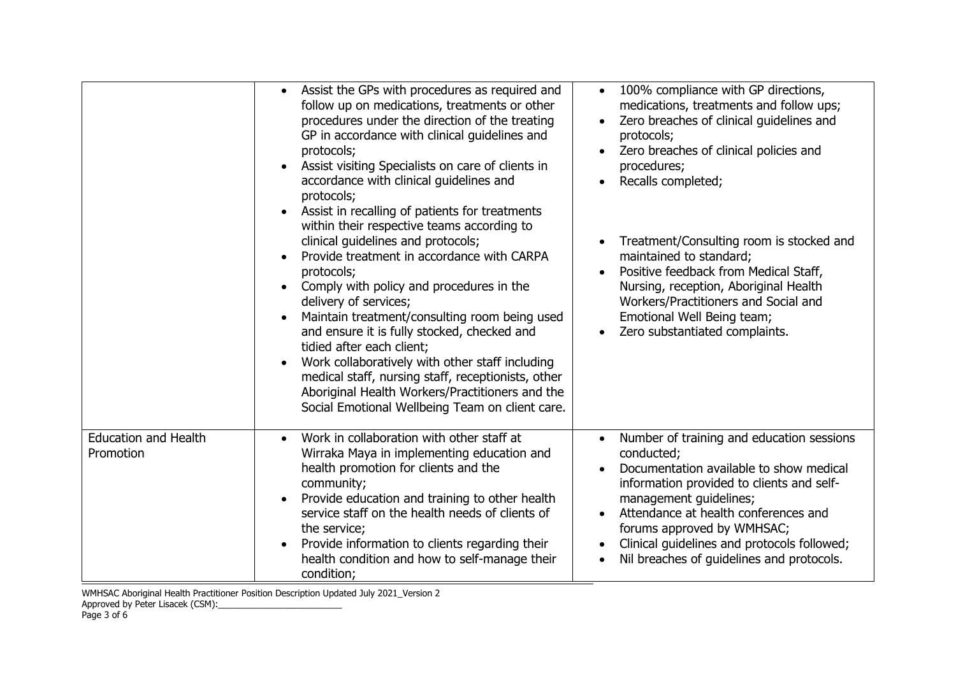|                                          | Assist the GPs with procedures as required and<br>follow up on medications, treatments or other<br>procedures under the direction of the treating<br>GP in accordance with clinical guidelines and<br>protocols;<br>Assist visiting Specialists on care of clients in<br>accordance with clinical guidelines and<br>protocols;<br>Assist in recalling of patients for treatments<br>within their respective teams according to<br>clinical guidelines and protocols;<br>Provide treatment in accordance with CARPA<br>protocols;<br>Comply with policy and procedures in the<br>delivery of services;<br>Maintain treatment/consulting room being used<br>and ensure it is fully stocked, checked and<br>tidied after each client;<br>Work collaboratively with other staff including<br>medical staff, nursing staff, receptionists, other<br>Aboriginal Health Workers/Practitioners and the | 100% compliance with GP directions,<br>$\bullet$<br>medications, treatments and follow ups;<br>Zero breaches of clinical guidelines and<br>$\bullet$<br>protocols;<br>Zero breaches of clinical policies and<br>procedures;<br>Recalls completed;<br>$\bullet$<br>Treatment/Consulting room is stocked and<br>maintained to standard;<br>Positive feedback from Medical Staff,<br>Nursing, reception, Aboriginal Health<br>Workers/Practitioners and Social and<br>Emotional Well Being team;<br>Zero substantiated complaints. |
|------------------------------------------|------------------------------------------------------------------------------------------------------------------------------------------------------------------------------------------------------------------------------------------------------------------------------------------------------------------------------------------------------------------------------------------------------------------------------------------------------------------------------------------------------------------------------------------------------------------------------------------------------------------------------------------------------------------------------------------------------------------------------------------------------------------------------------------------------------------------------------------------------------------------------------------------|---------------------------------------------------------------------------------------------------------------------------------------------------------------------------------------------------------------------------------------------------------------------------------------------------------------------------------------------------------------------------------------------------------------------------------------------------------------------------------------------------------------------------------|
|                                          | Social Emotional Wellbeing Team on client care.                                                                                                                                                                                                                                                                                                                                                                                                                                                                                                                                                                                                                                                                                                                                                                                                                                                |                                                                                                                                                                                                                                                                                                                                                                                                                                                                                                                                 |
| <b>Education and Health</b><br>Promotion | Work in collaboration with other staff at<br>Wirraka Maya in implementing education and<br>health promotion for clients and the<br>community;<br>Provide education and training to other health<br>service staff on the health needs of clients of<br>the service;<br>Provide information to clients regarding their<br>health condition and how to self-manage their<br>condition;                                                                                                                                                                                                                                                                                                                                                                                                                                                                                                            | Number of training and education sessions<br>$\bullet$<br>conducted;<br>Documentation available to show medical<br>information provided to clients and self-<br>management guidelines;<br>Attendance at health conferences and<br>forums approved by WMHSAC;<br>Clinical guidelines and protocols followed;<br>$\bullet$<br>Nil breaches of guidelines and protocols.                                                                                                                                                           |

WMHSAC Aboriginal Health Practitioner Position Description Updated July 2021\_Version 2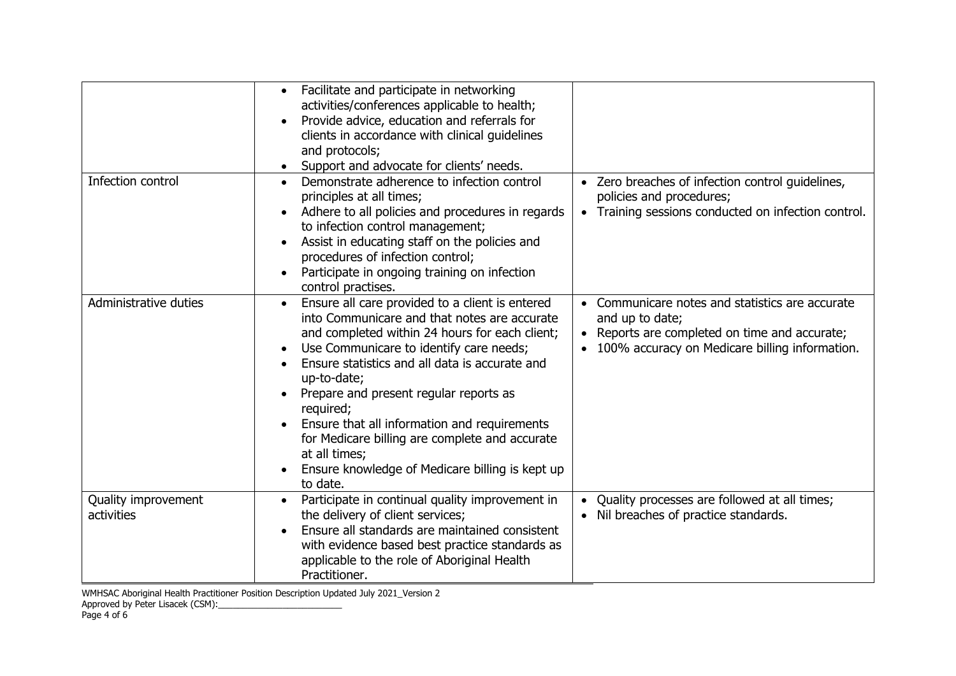|                                   | Facilitate and participate in networking<br>$\bullet$<br>activities/conferences applicable to health;<br>Provide advice, education and referrals for<br>clients in accordance with clinical guidelines<br>and protocols;<br>Support and advocate for clients' needs.                                                                                                                                                                                                                                   |                                                                                                                                                                   |
|-----------------------------------|--------------------------------------------------------------------------------------------------------------------------------------------------------------------------------------------------------------------------------------------------------------------------------------------------------------------------------------------------------------------------------------------------------------------------------------------------------------------------------------------------------|-------------------------------------------------------------------------------------------------------------------------------------------------------------------|
| Infection control                 | Demonstrate adherence to infection control<br>principles at all times;<br>Adhere to all policies and procedures in regards<br>to infection control management;<br>Assist in educating staff on the policies and<br>procedures of infection control;<br>Participate in ongoing training on infection<br>control practises.                                                                                                                                                                              | • Zero breaches of infection control guidelines,<br>policies and procedures;<br>Training sessions conducted on infection control.<br>$\bullet$                    |
| Administrative duties             | Ensure all care provided to a client is entered<br>into Communicare and that notes are accurate<br>and completed within 24 hours for each client;<br>Use Communicare to identify care needs;<br>Ensure statistics and all data is accurate and<br>up-to-date;<br>Prepare and present regular reports as<br>required;<br>Ensure that all information and requirements<br>for Medicare billing are complete and accurate<br>at all times;<br>Ensure knowledge of Medicare billing is kept up<br>to date. | Communicare notes and statistics are accurate<br>and up to date;<br>Reports are completed on time and accurate;<br>100% accuracy on Medicare billing information. |
| Quality improvement<br>activities | Participate in continual quality improvement in<br>$\bullet$<br>the delivery of client services;<br>Ensure all standards are maintained consistent<br>with evidence based best practice standards as<br>applicable to the role of Aboriginal Health<br>Practitioner.                                                                                                                                                                                                                                   | Quality processes are followed at all times;<br>$\bullet$<br>Nil breaches of practice standards.                                                                  |

WMHSAC Aboriginal Health Practitioner Position Description Updated July 2021\_Version 2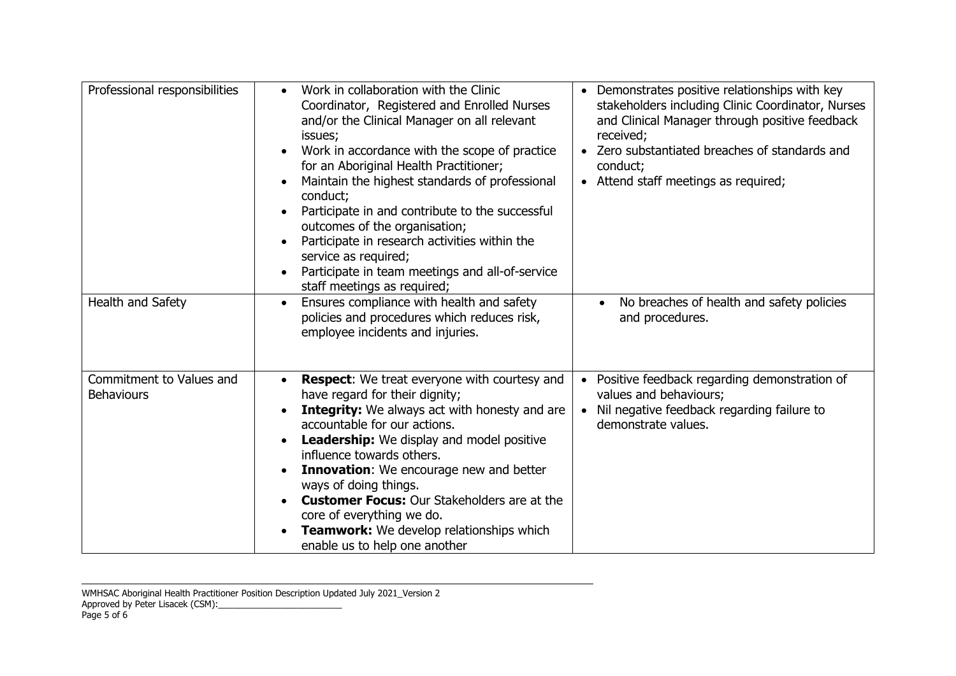| Professional responsibilities                 | Work in collaboration with the Clinic<br>Coordinator, Registered and Enrolled Nurses<br>and/or the Clinical Manager on all relevant<br>issues;<br>Work in accordance with the scope of practice<br>for an Aboriginal Health Practitioner;<br>Maintain the highest standards of professional<br>conduct;<br>Participate in and contribute to the successful<br>outcomes of the organisation;<br>Participate in research activities within the<br>service as required;<br>Participate in team meetings and all-of-service<br>staff meetings as required; | • Demonstrates positive relationships with key<br>stakeholders including Clinic Coordinator, Nurses<br>and Clinical Manager through positive feedback<br>received;<br>Zero substantiated breaches of standards and<br>$\bullet$<br>conduct;<br>Attend staff meetings as required;<br>$\bullet$ |
|-----------------------------------------------|--------------------------------------------------------------------------------------------------------------------------------------------------------------------------------------------------------------------------------------------------------------------------------------------------------------------------------------------------------------------------------------------------------------------------------------------------------------------------------------------------------------------------------------------------------|------------------------------------------------------------------------------------------------------------------------------------------------------------------------------------------------------------------------------------------------------------------------------------------------|
| Health and Safety                             | Ensures compliance with health and safety<br>policies and procedures which reduces risk,<br>employee incidents and injuries.                                                                                                                                                                                                                                                                                                                                                                                                                           | No breaches of health and safety policies<br>and procedures.                                                                                                                                                                                                                                   |
| Commitment to Values and<br><b>Behaviours</b> | <b>Respect:</b> We treat everyone with courtesy and<br>have regard for their dignity;<br><b>Integrity:</b> We always act with honesty and are<br>accountable for our actions.<br><b>Leadership:</b> We display and model positive<br>influence towards others.<br>Innovation: We encourage new and better<br>ways of doing things.<br><b>Customer Focus:</b> Our Stakeholders are at the<br>core of everything we do.<br>Teamwork: We develop relationships which<br>enable us to help one another                                                     | Positive feedback regarding demonstration of<br>values and behaviours;<br>Nil negative feedback regarding failure to<br>$\bullet$<br>demonstrate values.                                                                                                                                       |